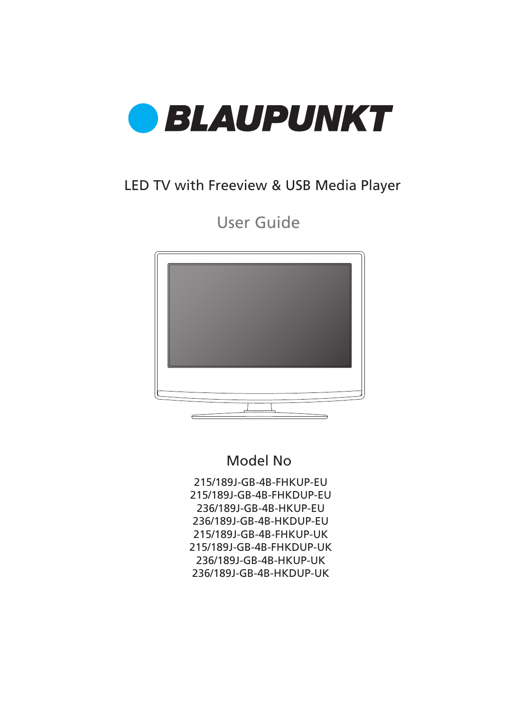

### LED TV with Freeview & USB Media Player

User Guide



### Model No

215/189J-GB-4B-FHKUP-EU 215/189J-GB-4B-FHKDUP-EU 236/189J-GB-4B-HKUP-EU 236/189J-GB-4B-HKDUP-EU 215/189J-GB-4B-FHKUP-UK 215/189J-GB-4B-FHKDUP-UK 236/189J-GB-4B-HKUP-UK 236/189J-GB-4B-HKDUP-UK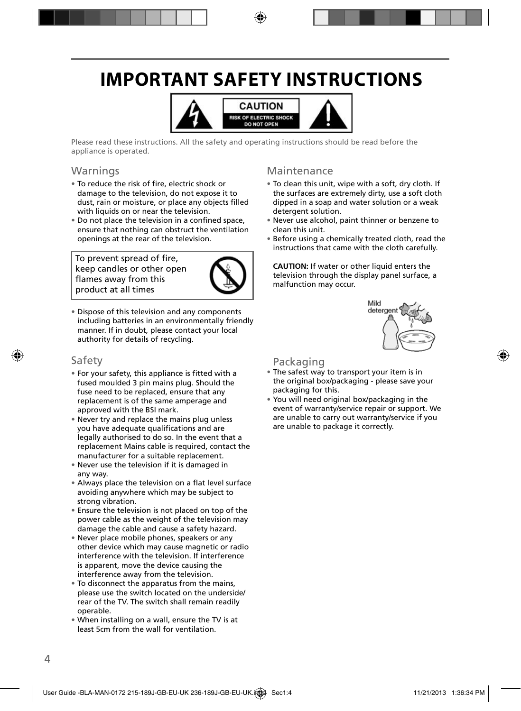## **IMPORTANT SAFETY INSTRUCTIONS**



Please read these instructions. All the safety and operating instructions should be read before the appliance is operated.

### Warnings

- To reduce the risk of fire, electric shock or damage to the television, do not expose it to dust, rain or moisture, or place any objects filled with liquids on or near the television.
- Do not place the television in a confined space, ensure that nothing can obstruct the ventilation openings at the rear of the television.

To prevent spread of fire, keep candles or other open flames away from this product at all times



• Dispose of this television and any components including batteries in an environmentally friendly manner. If in doubt, please contact your local authority for details of recycling.

#### Safety

- For your safety, this appliance is fitted with a fused moulded 3 pin mains plug. Should the fuse need to be replaced, ensure that any replacement is of the same amperage and approved with the BSI mark.
- Never try and replace the mains plug unless you have adequate qualifications and are legally authorised to do so. In the event that a replacement Mains cable is required, contact the manufacturer for a suitable replacement.
- Never use the television if it is damaged in any way.
- Always place the television on a flat level surface avoiding anywhere which may be subject to strong vibration.
- Ensure the television is not placed on top of the power cable as the weight of the television may damage the cable and cause a safety hazard.
- Never place mobile phones, speakers or any other device which may cause magnetic or radio interference with the television. If interference is apparent, move the device causing the interference away from the television.
- To disconnect the apparatus from the mains, please use the switch located on the underside/ rear of the TV. The switch shall remain readily operable.
- When installing on a wall, ensure the TV is at least 5cm from the wall for ventilation.

### Maintenance

- To clean this unit, wipe with a soft, dry cloth. If the surfaces are extremely dirty, use a soft cloth dipped in a soap and water solution or a weak detergent solution.
- Never use alcohol, paint thinner or benzene to clean this unit.
- Before using a chemically treated cloth, read the instructions that came with the cloth carefully.

**CAUTION:** If water or other liquid enters the television through the display panel surface, a malfunction may occur.



#### Packaging

- The safest way to transport your item is in the original box/packaging - please save your packaging for this.
- You will need original box/packaging in the event of warranty/service repair or support. We are unable to carry out warranty/service if you are unable to package it correctly.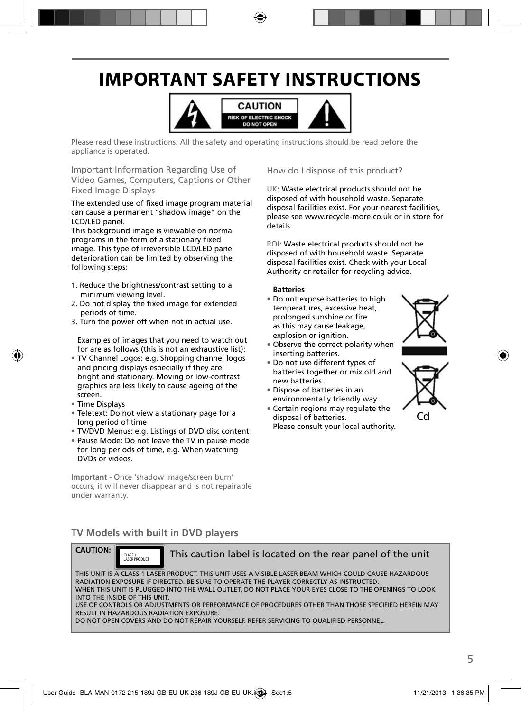## **IMPORTANT SAFETY INSTRUCTIONS**



Please read these instructions. All the safety and operating instructions should be read before the appliance is operated.

Important Information Regarding Use of Video Games, Computers, Captions or Other Fixed Image Displays

The extended use of fixed image program material can cause a permanent "shadow image" on the LCD/LED panel.

This background image is viewable on normal programs in the form of a stationary fixed image. This type of irreversible LCD/LED panel deterioration can be limited by observing the following steps:

- 1. Reduce the brightness/contrast setting to a minimum viewing level.
- 2. Do not display the fixed image for extended periods of time.
- 3. Turn the power off when not in actual use.

Examples of images that you need to watch out for are as follows (this is not an exhaustive list):

- TV Channel Logos: e.g. Shopping channel logos and pricing displays-especially if they are bright and stationary. Moving or low-contrast graphics are less likely to cause ageing of the screen.
- Time Displays
- Teletext: Do not view a stationary page for a long period of time
- TV/DVD Menus: e.g. Listings of DVD disc content
- Pause Mode: Do not leave the TV in pause mode for long periods of time, e.g. When watching DVDs or videos.

**Important** - Once 'shadow image/screen burn' occurs, it will never disappear and is not repairable under warranty.

How do I dispose of this product?

UK: Waste electrical products should not be disposed of with household waste. Separate disposal facilities exist. For your nearest facilities, please see www.recycle-more.co.uk or in store for details.

ROI: Waste electrical products should not be disposed of with household waste. Separate disposal facilities exist. Check with your Local Authority or retailer for recycling advice.

#### **Batteries**

- Do not expose batteries to high temperatures, excessive heat, prolonged sunshine or fire as this may cause leakage, explosion or ignition.
- Observe the correct polarity when inserting batteries.
- Do not use different types of batteries together or mix old and new batteries.
- Dispose of batteries in an environmentally friendly way.
- Certain regions may regulate the disposal of batteries. Please consult your local authority.





### **TV Models with built in DVD players**



This caution label is located on the rear panel of the unit

THIS UNIT IS A CLASS 1 LASER PRODUCT. THIS UNIT USES A VISIBLE LASER BEAM WHICH COULD CAUSE HAZARDOUS RADIATION EXPOSURE IF DIRECTED. BE SURE TO OPERATE THE PLAYER CORRECTLY AS INSTRUCTED. WHEN THIS UNIT IS PLUGGED INTO THE WALL OUTLET, DO NOT PLACE YOUR EYES CLOSE TO THE OPENINGS TO LOOK INTO THE INSIDE OF THIS UNIT. USE OF CONTROLS OR ADJUSTMENTS OR PERFORMANCE OF PROCEDURES OTHER THAN THOSE SPECIFIED HEREIN MAY

RESULT IN HAZARDOUS RADIATION EXPOSURE.

DO NOT OPEN COVERS AND DO NOT REPAIR YOURSELF. REFER SERVICING TO QUALIFIED PERSONNEL.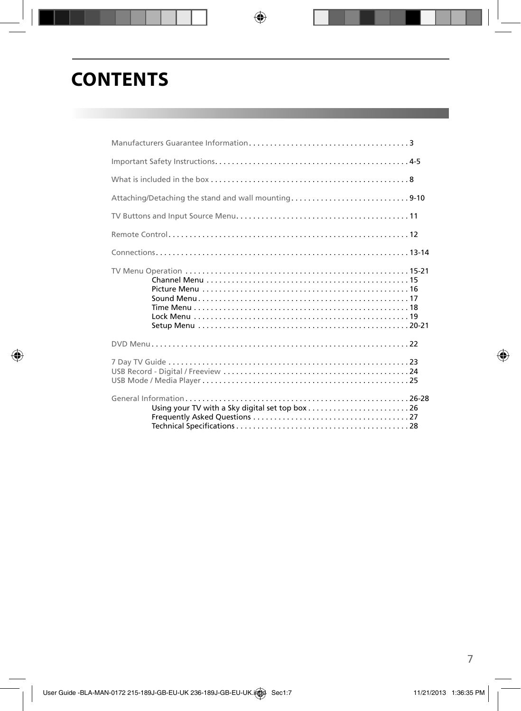# **CONTENTS**

| What is included in the box $\ldots$ $\ldots$ $\ldots$ $\ldots$ $\ldots$ $\ldots$ $\ldots$ $\ldots$ $\ldots$ $\ldots$ $\ldots$ $\ldots$ $\ldots$ $\ldots$ $\ldots$ $\ldots$ |  |
|-----------------------------------------------------------------------------------------------------------------------------------------------------------------------------|--|
| Attaching/Detaching the stand and wall mounting9-10                                                                                                                         |  |
|                                                                                                                                                                             |  |
|                                                                                                                                                                             |  |
|                                                                                                                                                                             |  |
|                                                                                                                                                                             |  |
|                                                                                                                                                                             |  |
|                                                                                                                                                                             |  |
|                                                                                                                                                                             |  |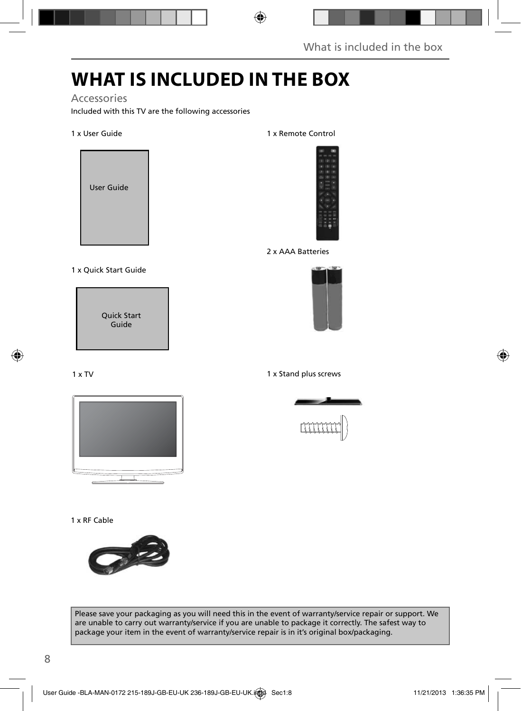### **WHAT IS INCLUDED IN THE BOX**

### Accessories

Included with this TV are the following accessories

1 x User Guide



#### 1 x Quick Start Guide

Quick Start Guide

#### 1 x TV



#### 1 x RF Cable



1 x Remote Control



#### 2 x AAA Batteries



#### 1 x Stand plus screws



Please save your packaging as you will need this in the event of warranty/service repair or support. We are unable to carry out warranty/service if you are unable to package it correctly. The safest way to package your item in the event of warranty/service repair is in it's original box/packaging.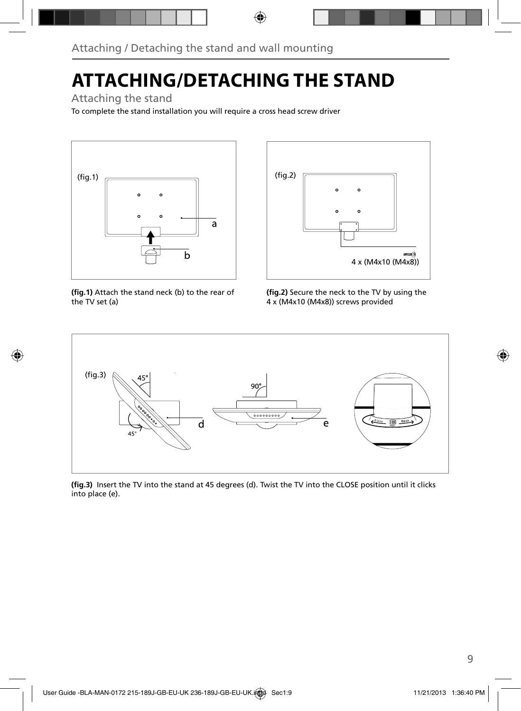## **ATTACHING/DETACHING THE STAND**

### Attaching the stand

To complete the stand installation you will require a cross head screw driver



(fig.1) Attach the stand neck (b) to the rear of the TV set (a)



(fig.2) Secure the neck to the TV by using the 4 x (M4x10 (M4x8)) screws provided



(fig.3) Insert the TV into the stand at 45 degrees (d). Twist the TV into the CLOSE position until it clicks into place (e).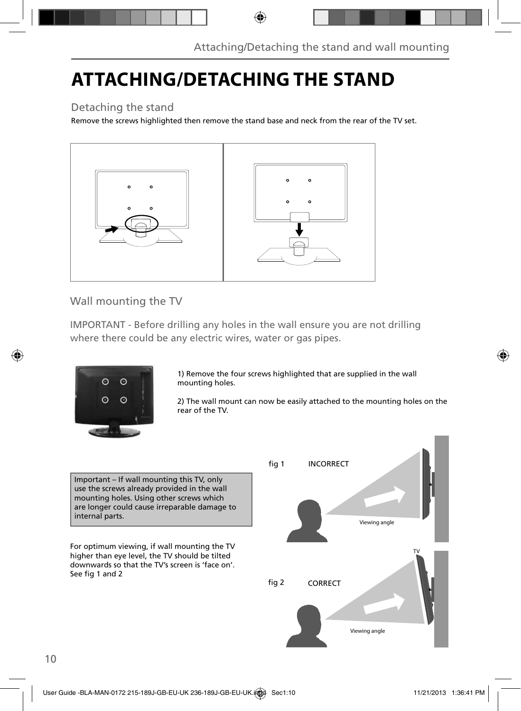## **ATTACHING/DETACHING THE STAND**

### Detaching the stand

Remove the screws highlighted then remove the stand base and neck from the rear of the TV set.



Wall mounting the TV

IMPORTANT - Before drilling any holes in the wall ensure you are not drilling where there could be any electric wires, water or gas pipes.



1) Remove the four screws highlighted that are supplied in the wall mounting holes.

2) The wall mount can now be easily attached to the mounting holes on the rear of the TV.

Important – If wall mounting this TV, only use the screws already provided in the wall mounting holes. Using other screws which are longer could cause irreparable damage to internal parts.

For optimum viewing, if wall mounting the TV higher than eye level, the TV should be tilted downwards so that the TV's screen is 'face on'. See fig 1 and 2

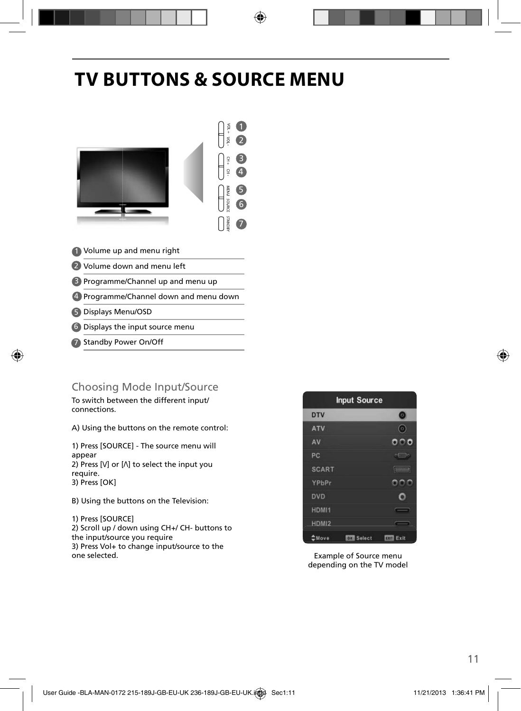## **TV BUTTONS & SOURCE MENU**



- 1) Volume up and menu right
- 2 Volume down and menu left
- **B** Programme/Channel up and menu up
- Programme/Channel down and menu down 4
- Displays Menu/OSD 5
- 6 Displays the input source menu
- 7 Standby Power On/Off

### Choosing Mode Input/Source

To switch between the different input/ connections.

A) Using the buttons on the remote control:

1) Press [SOURCE] - The source menu will appear 2) Press  $[V]$  or  $[\Lambda]$  to select the input you require. 3) Press [OK]

B) Using the buttons on the Television:

1) Press [SOURCE] 2) Scroll up / down using CH+/ CH- buttons to the input/source you require 3) Press Vol+ to change input/source to the one selected.



Example of Source menu depending on the TV model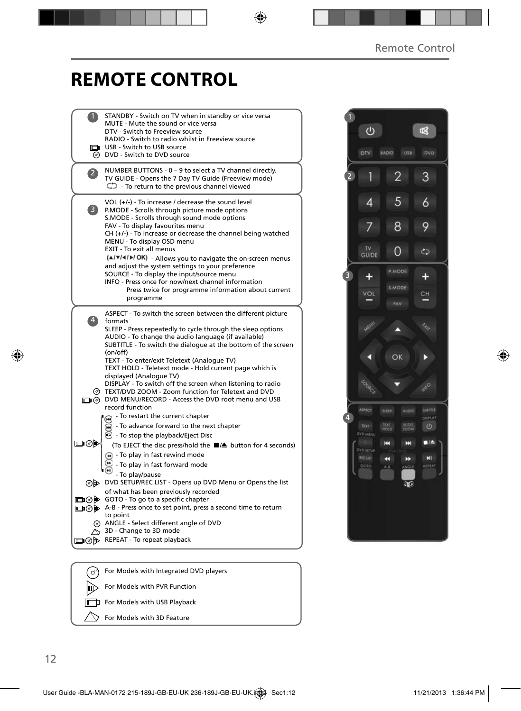### **REMOTE CONTROL**

|                | STANDBY - Switch on TV when in standby or vice versa                                                               |  |
|----------------|--------------------------------------------------------------------------------------------------------------------|--|
|                | MUTE - Mute the sound or vice versa                                                                                |  |
|                | DTV - Switch to Freeview source                                                                                    |  |
|                | RADIO - Switch to radio whilst in Freeview source<br>USB - Switch to USB source                                    |  |
|                | @ DVD - Switch to DVD source                                                                                       |  |
|                |                                                                                                                    |  |
| $\overline{2}$ | NUMBER BUTTONS - 0 - 9 to select a TV channel directly.                                                            |  |
|                | TV GUIDE - Opens the 7 Day TV Guide (Freeview mode)                                                                |  |
|                | $\mathbb{C}$ - To return to the previous channel viewed                                                            |  |
|                |                                                                                                                    |  |
| 3)             | VOL (+/-) - To increase / decrease the sound level<br>P.MODE - Scrolls through picture mode options                |  |
|                | S.MODE - Scrolls through sound mode options                                                                        |  |
|                | FAV - To display favourites menu                                                                                   |  |
|                | $CH (+/-)$ - To increase or decrease the channel being watched                                                     |  |
|                | MENU - To display OSD menu                                                                                         |  |
|                | EXIT - To exit all menus                                                                                           |  |
|                | (A/V/4/D/OK) - Allows you to navigate the on-screen menus                                                          |  |
|                | and adjust the system settings to your preference<br>SOURCE - To display the input/source menu                     |  |
|                | INFO - Press once for now/next channel information                                                                 |  |
|                | Press twice for programme information about current                                                                |  |
|                | programme                                                                                                          |  |
|                |                                                                                                                    |  |
|                | ASPECT - To switch the screen between the different picture                                                        |  |
| $\overline{4}$ | formats                                                                                                            |  |
|                | SLEEP - Press repeatedly to cycle through the sleep options<br>AUDIO - To change the audio language (if available) |  |
|                | SUBTITLE - To switch the dialogue at the bottom of the screen                                                      |  |
|                | (on/off)                                                                                                           |  |
|                | TEXT - To enter/exit Teletext (Analogue TV)                                                                        |  |
|                | TEXT HOLD - Teletext mode - Hold current page which is                                                             |  |
|                | displayed (Analoque TV)<br>DISPLAY - To switch off the screen when listening to radio                              |  |
|                | @ TEXT/DVD ZOOM - Zoom function for Teletext and DVD                                                               |  |
|                | O DVD MENU/RECORD - Access the DVD root menu and USB                                                               |  |
|                | record function                                                                                                    |  |
|                | - To restart the current chapter                                                                                   |  |
|                | To advance forward to the next chapter                                                                             |  |
|                | <b>B</b> - To stop the playback/Eject Disc                                                                         |  |
| ▭◉▶            | (To EJECT the disc press/hold the ■▲ button for 4 seconds)                                                         |  |
|                | $\left( \widehat{)}$ - To play in fast rewind mode                                                                 |  |
|                | - To play in fast forward mode                                                                                     |  |
|                |                                                                                                                    |  |
|                | - To play/pause<br>⊙ DVD SETUP/REC LIST - Opens up DVD Menu or Opens the list                                      |  |
|                | of what has been previously recorded                                                                               |  |
|                | □ ⑦ D GOTO - To go to a specific chapter                                                                           |  |
|                | A-B - Press once to set point, press a second time to return                                                       |  |
|                | to point                                                                                                           |  |
|                | @ ANGLE - Select different angle of DVD                                                                            |  |
|                | $\Diamond$ 3D - Change to 3D mode                                                                                  |  |
|                | □ ⊙ D REPEAT - To repeat playback                                                                                  |  |
|                |                                                                                                                    |  |
|                |                                                                                                                    |  |
|                |                                                                                                                    |  |



For Models with Integrated DVD players  $(\circ)$ 顾 For Models with PVR Function  $\Box$ For Models with USB Playback For Models with 3D Feature ╲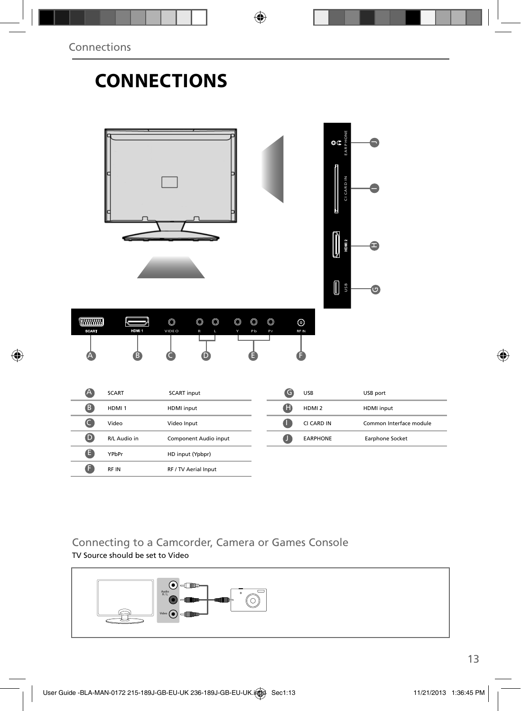## **CONNECTIONS**

|                             |                   |                                                                                                                                                    |             | $\mathbf{G}$<br><b>CICARDIN</b><br>E<br>HDMI <sub>2</sub><br>U<br>Ī<br><b>USB</b> | A<br>$\bullet$          |
|-----------------------------|-------------------|----------------------------------------------------------------------------------------------------------------------------------------------------|-------------|-----------------------------------------------------------------------------------|-------------------------|
| <b>WWWW</b><br><b>SCART</b> | HDMI <sub>1</sub> | $\circledcirc$<br>$\circledcirc$<br>$\circledcirc$<br>$\circledcirc$<br>$\circledcirc$<br>$\circledcirc$<br>VIDE O<br>R<br>Y<br>Pb<br>L<br>Pr<br>D |             | $_{\odot}$<br>RF IN                                                               |                         |
| A                           | SCART             | <b>SCART</b> input                                                                                                                                 | $\bullet$   | <b>USB</b>                                                                        | USB port                |
| 8                           | HDMI <sub>1</sub> | HDMI input                                                                                                                                         | $\bf \bm G$ | HDMI <sub>2</sub>                                                                 | HDMI input              |
| $\bullet$                   | Video             | Video Input                                                                                                                                        | $\bullet$   | CI CARD IN                                                                        | Common Interface module |
| $\bullet$                   | R/L Audio in      | Component Audio input                                                                                                                              | $\bullet$   | EARPHONE                                                                          | Earphone Socket         |
| $\bullet$                   | YPbPr             | HD input (Ypbpr)                                                                                                                                   |             |                                                                                   |                         |
| $\bullet$                   | RF IN             | RF / TV Aerial Input                                                                                                                               |             |                                                                                   |                         |

### Connecting to a Camcorder, Camera or Games Console TV Source should be set to Video

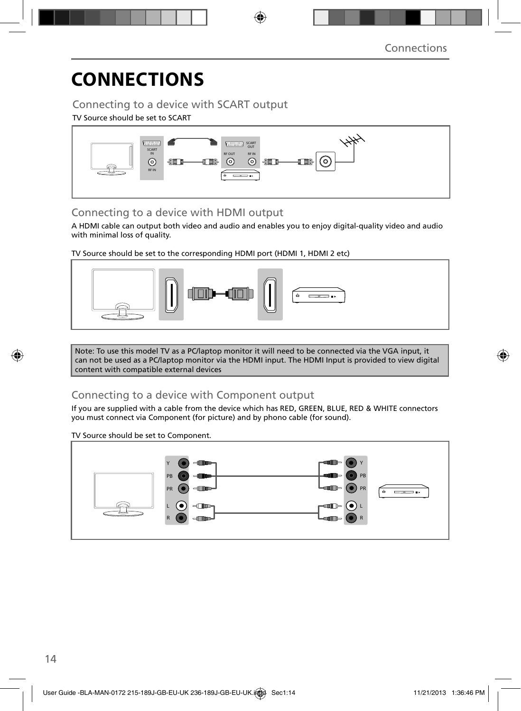## **CONNECTIONS**

### Connecting to a device with SCART output

#### TV Source should be set to SCART



### Connecting to a device with HDMI output

A HDMI cable can output both video and audio and enables you to enjoy digital-quality video and audio with minimal loss of quality.

TV Source should be set to the corresponding HDMI port (HDMI 1, HDMI 2 etc)



Note: To use this model TV as a PC/laptop monitor it will need to be connected via the VGA input, it can not be used as a PC/laptop monitor via the HDMI input. The HDMI Input is provided to view digital content with compatible external devices

### Connecting to a device with Component output

If you are supplied with a cable from the device which has RED, GREEN, BLUE, RED & WHITE connectors you must connect via Component (for picture) and by phono cable (for sound).

#### TV Source should be set to Component.

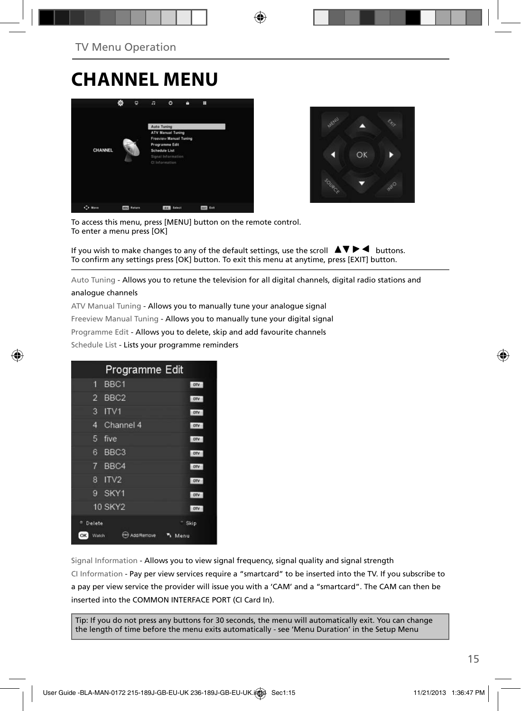## **CHANNEL MENU**





To access this menu, press [MENU] button on the remote control. To enter a menu press [OK]

If you wish to make changes to any of the default settings, use the scroll  $\Box \Box \blacktriangleright \blacktriangleleft$  buttons. To confirm any settings press [OK] button. To exit this menu at anytime, press [EXIT] button.

Auto Tuning - Allows you to retune the television for all digital channels, digital radio stations and

#### analogue channels

ATV Manual Tuning - Allows you to manually tune your analogue signal Freeview Manual Tuning - Allows you to manually tune your digital signal Programme Edit - Allows you to delete, skip and add favourite channels Schedule List - Lists your programme reminders

|                    | Programme Edit   |            |
|--------------------|------------------|------------|
| п                  | BBC <sub>1</sub> | <b>DTV</b> |
| $\overline{2}$     | BBC <sub>2</sub> | orv        |
| 3                  | ITV1             | <b>DIV</b> |
| 4                  | Channel 4        | <b>DIV</b> |
| 5                  | five             | orv        |
| 6                  | BBC <sub>3</sub> | orv        |
| 7                  | BBC4             | orv        |
| 8                  | IV2              | orv        |
| 9                  | SKY1             | otv        |
|                    | <b>10 SKY2</b>   | <b>DIV</b> |
| Delete             |                  | Skip       |
| <b>OK</b><br>Watch | Add/Remove       | Menu       |

Signal Information - Allows you to view signal frequency, signal quality and signal strength CI Information - Pay per view services require a "smartcard" to be inserted into the TV. If you subscribe to a pay per view service the provider will issue you with a 'CAM' and a "smartcard". The CAM can then be inserted into the COMMON INTERFACE PORT (CI Card In).

Tip: If you do not press any buttons for 30 seconds, the menu will automatically exit. You can change the length of time before the menu exits automatically - see 'Menu Duration' in the Setup Menu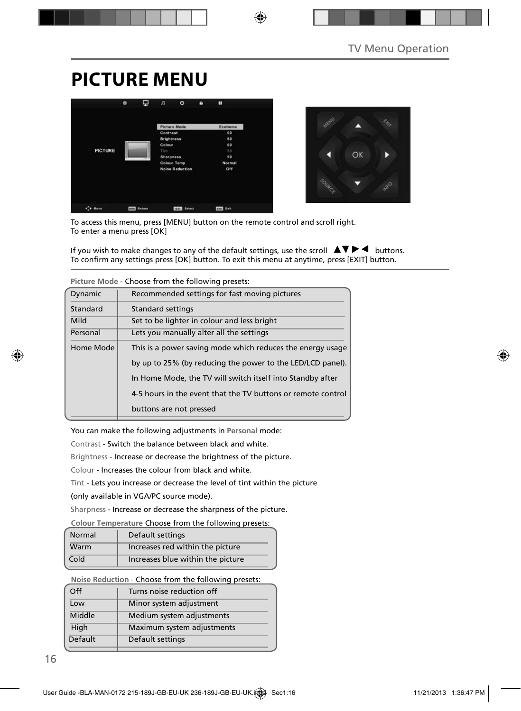## **PICTURE MENU**





To access this menu, press [MENU] button on the remote control and scroll right. To enter a menu press [OK]

If you wish to make changes to any of the default settings, use the scroll  $\Box \Box \blacktriangleright \blacktriangleleft$  buttons. To confirm any settings press [OK] button. To exit this menu at anytime, press [EXIT] button.

|           | Ficture Mode - Choose from the following presets.            |  |  |  |
|-----------|--------------------------------------------------------------|--|--|--|
| Dynamic   | Recommended settings for fast moving pictures                |  |  |  |
| Standard  | Standard settings                                            |  |  |  |
| Mild      | Set to be lighter in colour and less bright                  |  |  |  |
| Personal  | Lets you manually alter all the settings                     |  |  |  |
| Home Mode | This is a power saving mode which reduces the energy usage   |  |  |  |
|           | by up to 25% (by reducing the power to the LED/LCD panel).   |  |  |  |
|           | In Home Mode, the TV will switch itself into Standby after   |  |  |  |
|           | 4-5 hours in the event that the TV buttons or remote control |  |  |  |
|           | buttons are not pressed                                      |  |  |  |
|           |                                                              |  |  |  |

**Picture Mode** - Choose from the following presets:

You can make the following adjustments in **Personal** mode:

Contrast - Switch the balance between black and white.

Brightness - Increase or decrease the brightness of the picture.

Colour - Increases the colour from black and white.

Tint - Lets you increase or decrease the level of tint within the picture

(only available in VGA/PC source mode).

Sharpness - Increase or decrease the sharpness of the picture.

#### **Colour Temperature** Choose from the following presets:

| Normal | Default settings                  |
|--------|-----------------------------------|
| Warm   | Increases red within the picture  |
| Cold   | Increases blue within the picture |

**Noise Reduction** - Choose from the following presets:

| Off     | Turns noise reduction off  |
|---------|----------------------------|
| Low     | Minor system adjustment    |
| Middle  | Medium system adjustments  |
| High    | Maximum system adjustments |
| Default | Default settings           |
|         |                            |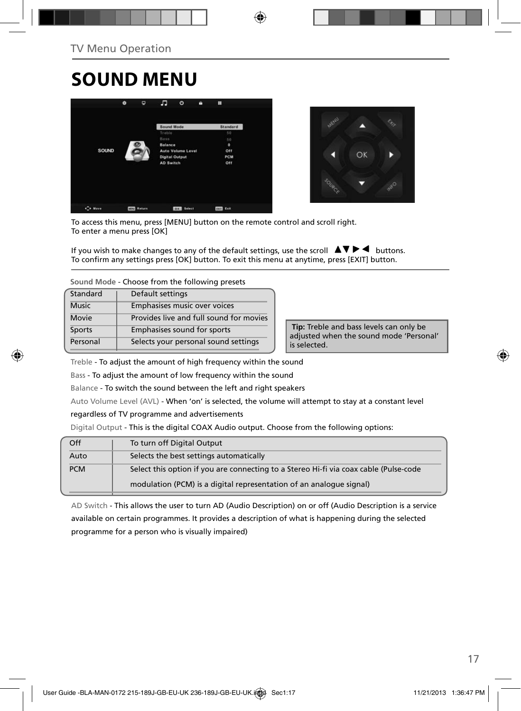## **SOUND MENU**





To access this menu, press [MENU] button on the remote control and scroll right. To enter a menu press [OK]

If you wish to make changes to any of the default settings, use the scroll  $\Box \blacktriangledown \blacktriangleright \blacktriangleleft$  buttons. To confirm any settings press [OK] button. To exit this menu at anytime, press [EXIT] button.

**Sound Mode** - Choose from the following presets

| Standard     | Default settings                        |
|--------------|-----------------------------------------|
| <b>Music</b> | Emphasises music over voices            |
| <b>Movie</b> | Provides live and full sound for movies |
| Sports       | Emphasises sound for sports             |
| Personal     | Selects your personal sound settings    |

 **Tip:** Treble and bass levels can only be adjusted when the sound mode 'Personal' is selected.

Treble - To adjust the amount of high frequency within the sound

Bass - To adjust the amount of low frequency within the sound

Balance - To switch the sound between the left and right speakers

Auto Volume Level (AVL) - When 'on' is selected, the volume will attempt to stay at a constant level

regardless of TV programme and advertisements

Digital Output - This is the digital COAX Audio output. Choose from the following options:

| Off        | To turn off Digital Output                                                            |
|------------|---------------------------------------------------------------------------------------|
| Auto       | Selects the best settings automatically                                               |
| <b>PCM</b> | Select this option if you are connecting to a Stereo Hi-fi via coax cable (Pulse-code |
|            | modulation (PCM) is a digital representation of an analogue signal)                   |

AD Switch - This allows the user to turn AD (Audio Description) on or off (Audio Description is a service available on certain programmes. It provides a description of what is happening during the selected programme for a person who is visually impaired)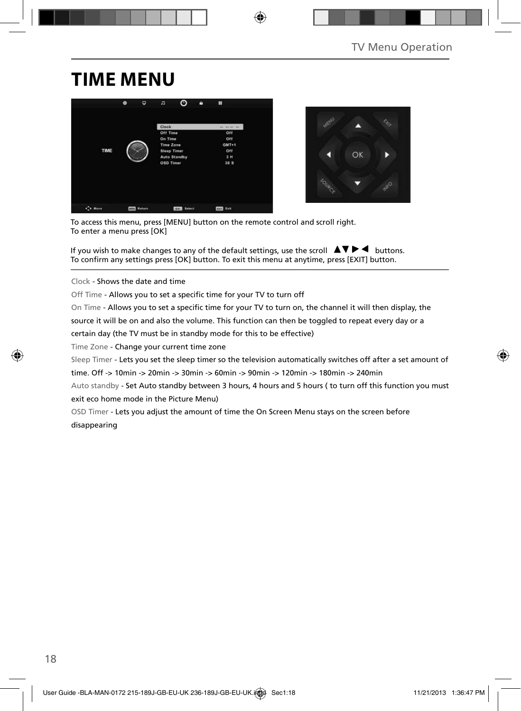### **TIME MENU**





To access this menu, press [MENU] button on the remote control and scroll right. To enter a menu press [OK]

If you wish to make changes to any of the default settings, use the scroll  $\Box \blacktriangledown \blacktriangleright \blacktriangleleft$  buttons. To confirm any settings press [OK] button. To exit this menu at anytime, press [EXIT] button.

Clock - Shows the date and time

Off Time - Allows you to set a specific time for your TV to turn off

On Time - Allows you to set a specific time for your TV to turn on, the channel it will then display, the

source it will be on and also the volume. This function can then be toggled to repeat every day or a

certain day (the TV must be in standby mode for this to be effective)

Time Zone - Change your current time zone

Sleep Timer - Lets you set the sleep timer so the television automatically switches off after a set amount of

time. Off -> 10min -> 20min -> 30min -> 60min -> 90min -> 120min -> 180min -> 240min

Auto standby - Set Auto standby between 3 hours, 4 hours and 5 hours ( to turn off this function you must exit eco home mode in the Picture Menu)

OSD Timer - Lets you adjust the amount of time the On Screen Menu stays on the screen before disappearing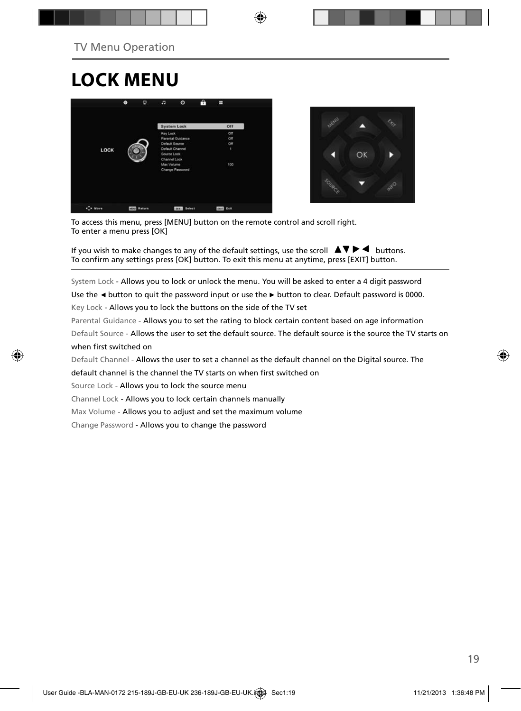# **LOCK MENU**





To access this menu, press [MENU] button on the remote control and scroll right. To enter a menu press [OK]

If you wish to make changes to any of the default settings, use the scroll  $\Box \blacktriangledown \blacktriangleright \blacktriangleleft$  buttons. To confirm any settings press [OK] button. To exit this menu at anytime, press [EXIT] button.

System Lock - Allows you to lock or unlock the menu. You will be asked to enter a 4 digit password

Use the **◄** button to quit the password input or use the **►** button to clear. Default password is 0000.

Key Lock - Allows you to lock the buttons on the side of the TV set

Parental Guidance - Allows you to set the rating to block certain content based on age information

Default Source - Allows the user to set the default source. The default source is the source the TV starts on when first switched on

Default Channel - Allows the user to set a channel as the default channel on the Digital source. The

default channel is the channel the TV starts on when first switched on

Source Lock - Allows you to lock the source menu

Channel Lock - Allows you to lock certain channels manually

Max Volume - Allows you to adjust and set the maximum volume

Change Password - Allows you to change the password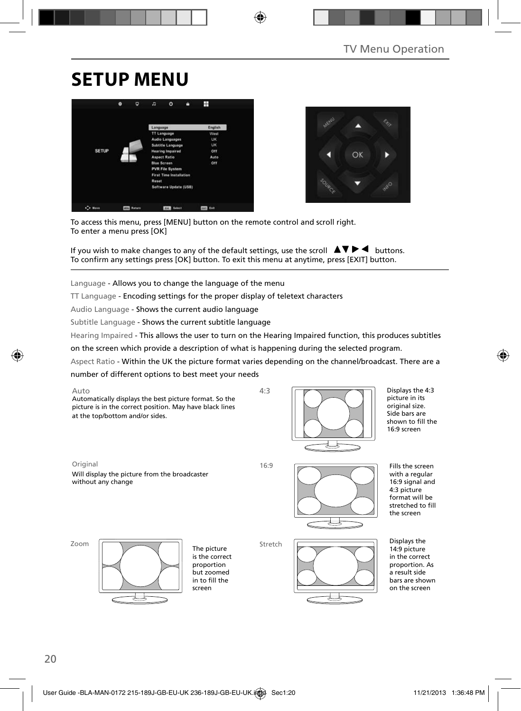## **SETUP MENU**





To access this menu, press [MENU] button on the remote control and scroll right. To enter a menu press [OK]

If you wish to make changes to any of the default settings, use the scroll  $\Box \blacktriangledown \blacktriangleright \blacktriangleleft$  buttons. To confirm any settings press [OK] button. To exit this menu at anytime, press [EXIT] button.

Language - Allows you to change the language of the menu

TT Language - Encoding settings for the proper display of teletext characters

Audio Language - Shows the current audio language

Subtitle Language - Shows the current subtitle language

Hearing Impaired - This allows the user to turn on the Hearing Impaired function, this produces subtitles

on the screen which provide a description of what is happening during the selected program.

Aspect Ratio - Within the UK the picture format varies depending on the channel/broadcast. There are a

number of different options to best meet your needs

Auto

Automatically displays the best picture format. So the picture is in the correct position. May have black lines at the top/bottom and/or sides.



Original 16:9

Will display the picture from the broadcaster without any change

4:3



Displays the 4:3 picture in its original size. Side bars are shown to fill the 16:9 screen

Fills the screen with a regular 16:9 signal and 4:3 picture format will be stretched to fill the screen

Zoom



The picture is the correct proportion but zoomed in to fill the screen



Displays the 14:9 picture in the correct proportion. As a result side bars are shown on the screen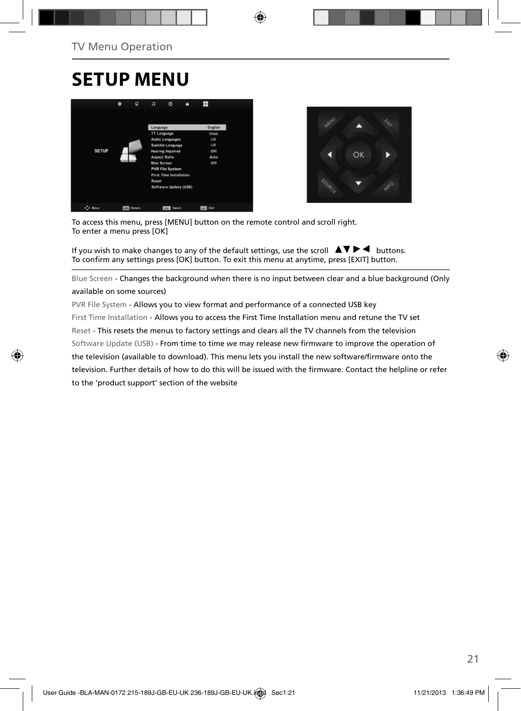## **SETUP MENU**





To access this menu, press [MENU] button on the remote control and scroll right. To enter a menu press [OK]

If you wish to make changes to any of the default settings, use the scroll  $\Box \blacktriangledown \blacktriangleright \blacktriangleleft$  buttons. To confirm any settings press [OK] button. To exit this menu at anytime, press [EXIT] button.

Blue Screen - Changes the background when there is no input between clear and a blue background (Only available on some sources)

PVR File System - Allows you to view format and performance of a connected USB key First Time Installation - Allows you to access the First Time Installation menu and retune the TV set Reset - This resets the menus to factory settings and clears all the TV channels from the television Software Update (USB) - From time to time we may release new firmware to improve the operation of the television (available to download). This menu lets you install the new software/firmware onto the television. Further details of how to do this will be issued with the firmware. Contact the helpline or refer to the 'product support' section of the website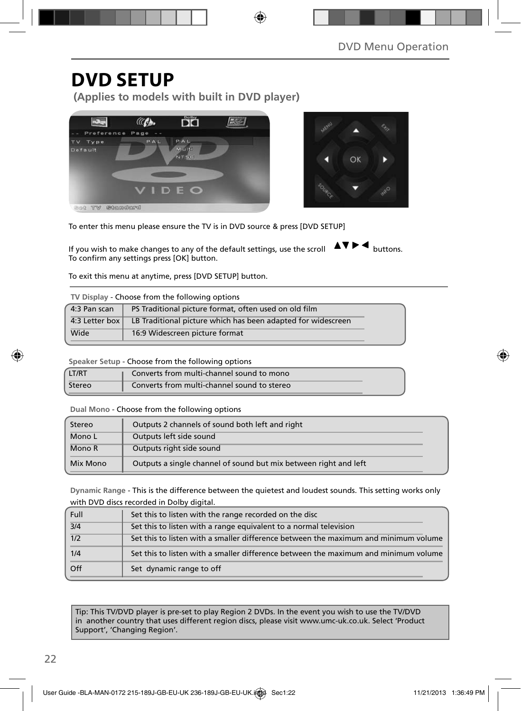### **DVD SETUP**

**(Applies to models with built in DVD player)**





To enter this menu please ensure the TV is in DVD source & press [DVD SETUP]

If you wish to make changes to any of the default settings, use the scroll  $\Delta \nabla \blacktriangleright$   $\blacktriangleleft$  buttons. To confirm any settings press [OK] button.

To exit this menu at anytime, press [DVD SETUP] button.

| TV Display - Choose from the following options |                                                              |  |  |
|------------------------------------------------|--------------------------------------------------------------|--|--|
| 4:3 Pan scan                                   | PS Traditional picture format, often used on old film        |  |  |
| 4:3 Letter box                                 | LB Traditional picture which has been adapted for widescreen |  |  |
| Wide                                           | 16:9 Widescreen picture format                               |  |  |

**Speaker Setup** - Choose from the following options

| LT/RT  | Converts from multi-channel sound to mono   |
|--------|---------------------------------------------|
| Stereo | Converts from multi-channel sound to stereo |

**Dual Mono** - Choose from the following options

| Stereo   | Outputs 2 channels of sound both left and right                  |  |
|----------|------------------------------------------------------------------|--|
| Mono L   | Outputs left side sound                                          |  |
| Mono R   | Outputs right side sound                                         |  |
| Mix Mono | Outputs a single channel of sound but mix between right and left |  |

**Dynamic Range** - This is the difference between the quietest and loudest sounds. This setting works only with DVD discs recorded in Dolby digital.

| Full             | Set this to listen with the range recorded on the disc                              |
|------------------|-------------------------------------------------------------------------------------|
| $\overline{3}/4$ | Set this to listen with a range equivalent to a normal television                   |
| 1/2              | Set this to listen with a smaller difference between the maximum and minimum volume |
| 1/4              | Set this to listen with a smaller difference between the maximum and minimum volume |
| Off              | Set dynamic range to off                                                            |

Tip: This TV/DVD player is pre-set to play Region 2 DVDs. In the event you wish to use the TV/DVD in another country that uses different region discs, please visit www.umc-uk.co.uk. Select 'Product Support', 'Changing Region'.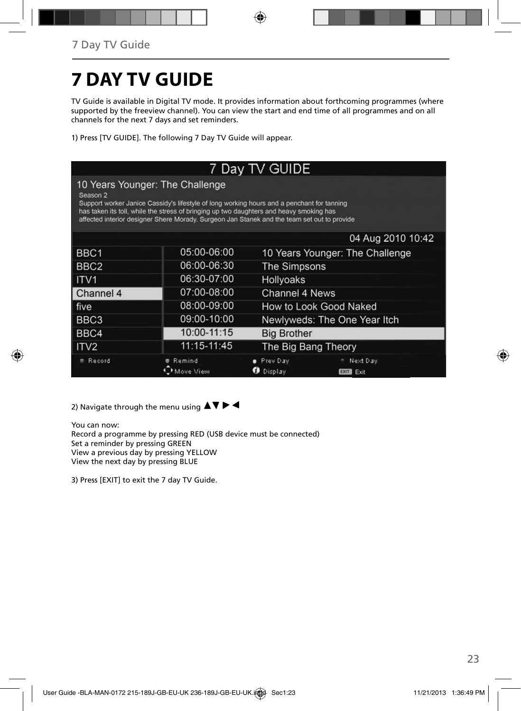# **7 DAY TV GUIDE**

TV Guide is available in Digital TV mode. It provides information about forthcoming programmes (where supported by the freeview channel). You can view the start and end time of all programmes and on all channels for the next 7 days and set reminders.

1) Press [TV GUIDE]. The following 7 Day TV Guide will appear.

| 7 Day TV GUIDE                                                                                                                                                                                                                                                                                                                      |             |                                                     |  |  |
|-------------------------------------------------------------------------------------------------------------------------------------------------------------------------------------------------------------------------------------------------------------------------------------------------------------------------------------|-------------|-----------------------------------------------------|--|--|
| 10 Years Younger: The Challenge<br>Season 2<br>Support worker Janice Cassidy's lifestyle of long working hours and a penchant for tanning<br>has taken its toll, while the stress of bringing up two daughters and heavy smoking has<br>affected interior designer Shere Morady. Surgeon Jan Stanek and the team set out to provide |             |                                                     |  |  |
|                                                                                                                                                                                                                                                                                                                                     |             | 04 Aug 2010 10:42                                   |  |  |
| BBC1                                                                                                                                                                                                                                                                                                                                | 05:00-06:00 | 10 Years Younger: The Challenge                     |  |  |
| BBC <sub>2</sub>                                                                                                                                                                                                                                                                                                                    | 06:00-06:30 | <b>The Simpsons</b>                                 |  |  |
| ITV <sub>1</sub>                                                                                                                                                                                                                                                                                                                    | 06:30-07:00 | Hollyoaks                                           |  |  |
| Channel 4                                                                                                                                                                                                                                                                                                                           | 07:00-08:00 | Channel 4 News                                      |  |  |
| ∣ five                                                                                                                                                                                                                                                                                                                              | 08:00-09:00 | How to Look Good Naked                              |  |  |
| BBC <sub>3</sub>                                                                                                                                                                                                                                                                                                                    | 09:00-10:00 | Newlyweds: The One Year Itch                        |  |  |
| BBC4                                                                                                                                                                                                                                                                                                                                | 10:00-11:15 | <b>Big Brother</b>                                  |  |  |
| ITV <sub>2</sub>                                                                                                                                                                                                                                                                                                                    | 11:15-11:45 | The Big Bang Theory                                 |  |  |
| Record                                                                                                                                                                                                                                                                                                                              | Remind      | Next Day<br>Prev Day<br>Display<br><b>EXIT</b> Exit |  |  |

2) Navigate through the menu using  $\blacktriangle \blacktriangledown \blacktriangleright \blacktriangleleft$ 

You can now: Record a programme by pressing RED (USB device must be connected) Set a reminder by pressing GREEN View a previous day by pressing YELLOW View the next day by pressing BLUE

3) Press [EXIT] to exit the 7 day TV Guide.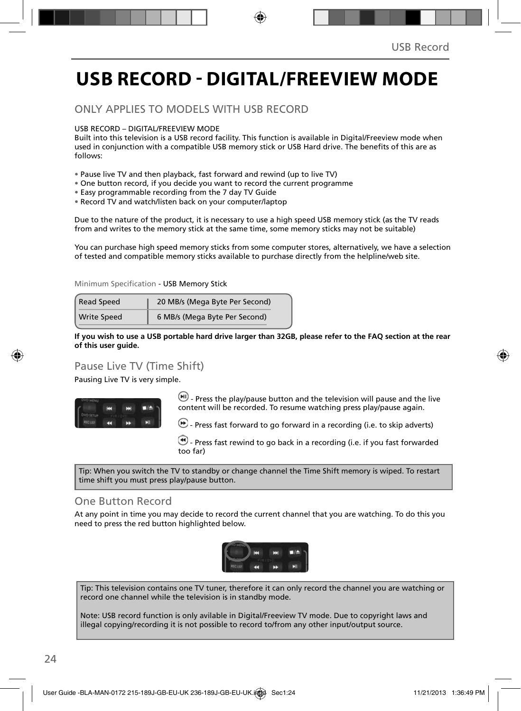## **USB RECORD - DIGITAL/FREEVIEW MODE**

### ONLY APPLIES TO MODELS WITH USB RECORD

USB RECORD – DIGITAL/FREEVIEW MODE

Built into this television is a USB record facility. This function is available in Digital/Freeview mode when used in conjunction with a compatible USB memory stick or USB Hard drive. The benefits of this are as follows:

- Pause live TV and then playback, fast forward and rewind (up to live TV)
- One button record, if you decide you want to record the current programme
- Easy programmable recording from the 7 day TV Guide
- Record TV and watch/listen back on your computer/laptop

Due to the nature of the product, it is necessary to use a high speed USB memory stick (as the TV reads from and writes to the memory stick at the same time, some memory sticks may not be suitable)

You can purchase high speed memory sticks from some computer stores, alternatively, we have a selection of tested and compatible memory sticks available to purchase directly from the helpline/web site.

Minimum Specification - USB Memory Stick

| <b>Read Speed</b>  | 20 MB/s (Mega Byte Per Second) |  |  |
|--------------------|--------------------------------|--|--|
| <b>Write Speed</b> | 6 MB/s (Mega Byte Per Second)  |  |  |

**If you wish to use a USB portable hard drive larger than 32GB, please refer to the FAQ section at the rear of this user guide.**

### Pause Live TV (Time Shift)

Pausing Live TV is very simple.



 $\left(\mathbf{H}\right)$  - Press the play/pause button and the television will pause and the live content will be recorded. To resume watching press play/pause again.

 $\blacktriangleright$  - Press fast forward to go forward in a recording (i.e. to skip adverts)

 - Press fast rewind to go back in a recording (i.e. if you fast forwarded too far)

Tip: When you switch the TV to standby or change channel the Time Shift memory is wiped. To restart time shift you must press play/pause button.

### One Button Record

At any point in time you may decide to record the current channel that you are watching. To do this you need to press the red button highlighted below.



Tip: This television contains one TV tuner, therefore it can only record the channel you are watching or record one channel while the television is in standby mode.

Note: USB record function is only avilable in Digital/Freeview TV mode. Due to copyright laws and illegal copying/recording it is not possible to record to/from any other input/output source.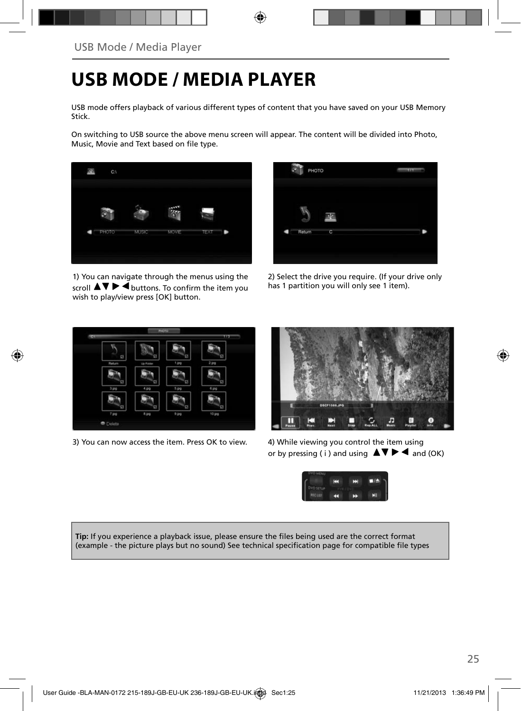## **USB MODE / MEDIA PLAYER**

USB mode offers playback of various different types of content that you have saved on your USB Memory Stick.

On switching to USB source the above menu screen will appear. The content will be divided into Photo, Music, Movie and Text based on file type.



1) You can navigate through the menus using the scroll  $\triangle \triangledown \triangleright \blacktriangleleft$  buttons. To confirm the item you wish to play/view press [OK] button.



2) Select the drive you require. (If your drive only has 1 partition you will only see 1 item).



3) You can now access the item. Press OK to view. 4) While viewing you control the item using



or by pressing ( i ) and using  $\blacktriangle \blacktriangledown \blacktriangleright \blacktriangleleft$  and (OK)



**Tip:** If you experience a playback issue, please ensure the files being used are the correct format (example - the picture plays but no sound) See technical specification page for compatible file types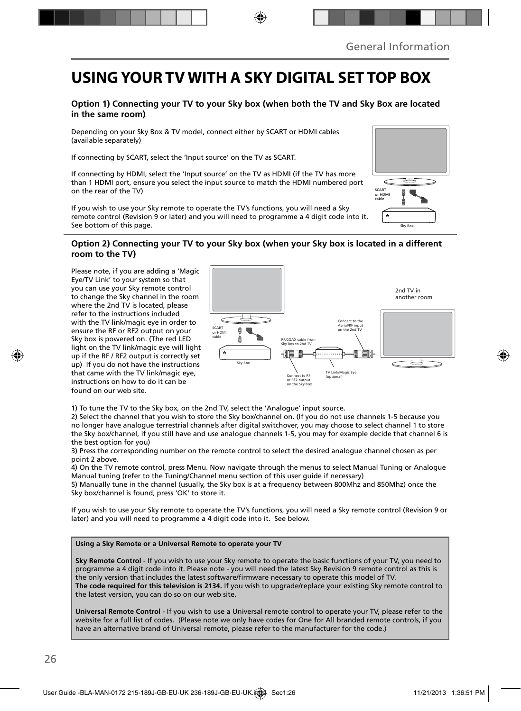### **USING YOUR TV WITH A SKY DIGITAL SET TOP BOX**

#### **Option 1) Connecting your TV to your Sky box (when both the TV and Sky Box are located in the same room)**

Depending on your Sky Box & TV model, connect either by SCART or HDMI cables (available separately)

If connecting by SCART, select the 'Input source' on the TV as SCART.

If connecting by HDMI, select the 'Input source' on the TV as HDMI (if the TV has more than 1 HDMI port, ensure you select the input source to match the HDMI numbered port on the rear of the TV)

If you wish to use your Sky remote to operate the TV's functions, you will need a Sky remote control (Revision 9 or later) and you will need to programme a 4 digit code into it. See bottom of this page.

#### **Option 2) Connecting your TV to your Sky box (when your Sky box is located in a different room to the TV)**

Please note, if you are adding a 'Magic Eye/TV Link' to your system so that you can use your Sky remote control to change the Sky channel in the room where the 2nd TV is located, please refer to the instructions included with the TV link/magic eye in order to ensure the RF or RF2 output on your Sky box is powered on. (The red LED light on the TV link/magic eye will light up if the RF / RF2 output is correctly set up) If you do not have the instructions that came with the TV link/magic eye, instructions on how to do it can be found on our web site.



1) To tune the TV to the Sky box, on the 2nd TV, select the 'Analogue' input source.

2) Select the channel that you wish to store the Sky box/channel on. (If you do not use channels 1-5 because you no longer have analogue terrestrial channels after digital switchover, you may choose to select channel 1 to store the Sky box/channel, if you still have and use analogue channels 1-5, you may for example decide that channel 6 is the best option for you)

3) Press the corresponding number on the remote control to select the desired analogue channel chosen as per point 2 above.

4) On the TV remote control, press Menu. Now navigate through the menus to select Manual Tuning or Analogue Manual tuning (refer to the Tuning/Channel menu section of this user guide if necessary)

5) Manually tune in the channel (usually, the Sky box is at a frequency between 800Mhz and 850Mhz) once the Sky box/channel is found, press 'OK' to store it.

If you wish to use your Sky remote to operate the TV's functions, you will need a Sky remote control (Revision 9 or later) and you will need to programme a 4 digit code into it. See below.

#### **Using a Sky Remote or a Universal Remote to operate your TV**

**Sky Remote Control** - If you wish to use your Sky remote to operate the basic functions of your TV, you need to programme a 4 digit code into it. Please note - you will need the latest Sky Revision 9 remote control as this is the only version that includes the latest software/firmware necessary to operate this model of TV. **The code required for this television is 2134.** If you wish to upgrade/replace your existing Sky remote control to the latest version, you can do so on our web site.

**Universal Remote Control** - If you wish to use a Universal remote control to operate your TV, please refer to the website for a full list of codes. (Please note we only have codes for One for All branded remote controls, if you have an alternative brand of Universal remote, please refer to the manufacturer for the code.)

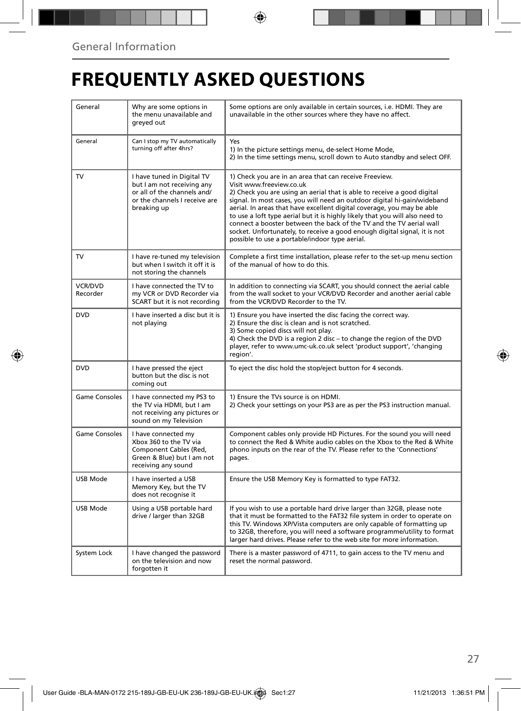## **FREQUENTLY ASKED QUESTIONS**

| General                    | Why are some options in<br>the menu unavailable and<br>greyed out                                                                       | Some options are only available in certain sources, i.e. HDMI. They are<br>unavailable in the other sources where they have no affect.                                                                                                                                                                                                                                                                                                                                                                                                                                                                    |  |
|----------------------------|-----------------------------------------------------------------------------------------------------------------------------------------|-----------------------------------------------------------------------------------------------------------------------------------------------------------------------------------------------------------------------------------------------------------------------------------------------------------------------------------------------------------------------------------------------------------------------------------------------------------------------------------------------------------------------------------------------------------------------------------------------------------|--|
| General                    | Can I stop my TV automatically<br>turning off after 4hrs?                                                                               | Yes<br>1) In the picture settings menu, de-select Home Mode,<br>2) In the time settings menu, scroll down to Auto standby and select OFF.                                                                                                                                                                                                                                                                                                                                                                                                                                                                 |  |
| TV                         | I have tuned in Digital TV<br>but I am not receiving any<br>or all of the channels and/<br>or the channels I receive are<br>breaking up | 1) Check you are in an area that can receive Freeview.<br>Visit www.freeview.co.uk<br>2) Check you are using an aerial that is able to receive a good digital<br>signal. In most cases, you will need an outdoor digital hi-gain/wideband<br>aerial. In areas that have excellent digital coverage, you may be able<br>to use a loft type aerial but it is highly likely that you will also need to<br>connect a booster between the back of the TV and the TV aerial wall<br>socket. Unfortunately, to receive a good enough digital signal, it is not<br>possible to use a portable/indoor type aerial. |  |
| <b>TV</b>                  | I have re-tuned my television<br>but when I switch it off it is<br>not storing the channels                                             | Complete a first time installation, please refer to the set-up menu section<br>of the manual of how to do this.                                                                                                                                                                                                                                                                                                                                                                                                                                                                                           |  |
| <b>VCR/DVD</b><br>Recorder | I have connected the TV to<br>my VCR or DVD Recorder via<br>SCART but it is not recording                                               | In addition to connecting via SCART, you should connect the aerial cable<br>from the wall socket to your VCR/DVD Recorder and another aerial cable<br>from the VCR/DVD Recorder to the TV.                                                                                                                                                                                                                                                                                                                                                                                                                |  |
| <b>DVD</b>                 | I have inserted a disc but it is<br>not playing                                                                                         | 1) Ensure you have inserted the disc facing the correct way.<br>2) Ensure the disc is clean and is not scratched.<br>3) Some copied discs will not play.<br>4) Check the DVD is a region 2 disc - to change the region of the DVD<br>player, refer to www.umc-uk.co.uk select 'product support', 'changing<br>region'.                                                                                                                                                                                                                                                                                    |  |
| <b>DVD</b>                 | I have pressed the eject<br>button but the disc is not<br>coming out                                                                    | To eject the disc hold the stop/eject button for 4 seconds.                                                                                                                                                                                                                                                                                                                                                                                                                                                                                                                                               |  |
| Game Consoles              | I have connected my PS3 to<br>the TV via HDMI, but I am<br>not receiving any pictures or<br>sound on my Television                      | 1) Ensure the TVs source is on HDMI.<br>2) Check your settings on your PS3 are as per the PS3 instruction manual.                                                                                                                                                                                                                                                                                                                                                                                                                                                                                         |  |
| <b>Game Consoles</b>       | I have connected my<br>Xbox 360 to the TV via<br>Component Cables (Red,<br>Green & Blue) but I am not<br>receiving any sound            | Component cables only provide HD Pictures. For the sound you will need<br>to connect the Red & White audio cables on the Xbox to the Red & White<br>phono inputs on the rear of the TV. Please refer to the 'Connections'<br>pages.                                                                                                                                                                                                                                                                                                                                                                       |  |
| <b>USB Mode</b>            | I have inserted a USB<br>Memory Key, but the TV<br>does not recognise it                                                                | Ensure the USB Memory Key is formatted to type FAT32.                                                                                                                                                                                                                                                                                                                                                                                                                                                                                                                                                     |  |
| USB Mode                   | Using a USB portable hard<br>drive / larger than 32GB                                                                                   | If you wish to use a portable hard drive larger than 32GB, please note<br>that it must be formatted to the FAT32 file system in order to operate on<br>this TV. Windows XP/Vista computers are only capable of formatting up<br>to 32GB, therefore, you will need a software programme/utility to format<br>larger hard drives. Please refer to the web site for more information.                                                                                                                                                                                                                        |  |
| System Lock                | I have changed the password<br>on the television and now<br>forgotten it                                                                | There is a master password of 4711, to gain access to the TV menu and<br>reset the normal password.                                                                                                                                                                                                                                                                                                                                                                                                                                                                                                       |  |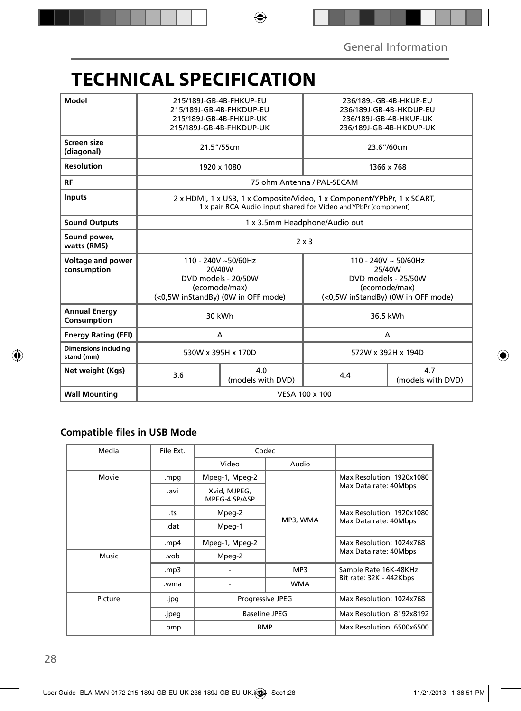## **TECHNICAL SPECIFICATION**

| Model                                     | 215/189J-GB-4B-FHKUP-EU<br>215/189J-GB-4B-FHKDUP-EU<br>215/189J-GB-4B-FHKUP-UK<br>215/189J-GB-4B-FHKDUP-UK                                 |                          | 236/189J-GB-4B-HKUP-EU<br>236/189J-GB-4B-HKDUP-EU<br>236/189J-GB-4B-HKUP-UK<br>236/189J-GB-4B-HKDUP-UK            |                          |  |
|-------------------------------------------|--------------------------------------------------------------------------------------------------------------------------------------------|--------------------------|-------------------------------------------------------------------------------------------------------------------|--------------------------|--|
| Screen size<br>(diagonal)                 | 21.5"/55cm                                                                                                                                 |                          | 23.6"/60cm                                                                                                        |                          |  |
| <b>Resolution</b>                         | 1920 x 1080                                                                                                                                |                          | 1366 x 768                                                                                                        |                          |  |
| RF                                        | 75 ohm Antenna / PAL-SECAM                                                                                                                 |                          |                                                                                                                   |                          |  |
| <b>Inputs</b>                             | 2 x HDMI, 1 x USB, 1 x Composite/Video, 1 x Component/YPbPr, 1 x SCART,<br>1 x pair RCA Audio input shared for Video and YPbPr (component) |                          |                                                                                                                   |                          |  |
| <b>Sound Outputs</b>                      | 1 x 3.5mm Headphone/Audio out                                                                                                              |                          |                                                                                                                   |                          |  |
| Sound power,<br>watts (RMS)               | $2 \times 3$                                                                                                                               |                          |                                                                                                                   |                          |  |
| Voltage and power<br>consumption          | 110 - 240V ~50/60Hz<br>20/40W<br>DVD models - 20/50W<br>(ecomode/max)<br>(<0,5W inStandBy) (0W in OFF mode)                                |                          | $110 - 240V \sim 50/60Hz$<br>25/40W<br>DVD models - 25/50W<br>(ecomode/max)<br>(<0,5W inStandBy) (0W in OFF mode) |                          |  |
| <b>Annual Energy</b><br>Consumption       | 30 kWh                                                                                                                                     |                          | 36.5 kWh                                                                                                          |                          |  |
| <b>Energy Rating (EEI)</b>                | A                                                                                                                                          |                          | A                                                                                                                 |                          |  |
| <b>Dimensions including</b><br>stand (mm) | 530W x 395H x 170D                                                                                                                         |                          | 572W x 392H x 194D                                                                                                |                          |  |
| Net weight (Kgs)                          | 3.6                                                                                                                                        | 4.0<br>(models with DVD) | 4.4                                                                                                               | 4.7<br>(models with DVD) |  |
| <b>Wall Mounting</b>                      | VESA 100 x 100                                                                                                                             |                          |                                                                                                                   |                          |  |

### **Compatible files in USB Mode**

| Media   | File Ext.     | Codec                                                  |            |                                                    |
|---------|---------------|--------------------------------------------------------|------------|----------------------------------------------------|
|         |               | Video                                                  | Audio      |                                                    |
| Movie   | .mpg          | Mpeg-1, Mpeg-2                                         |            | Max Resolution: 1920x1080<br>Max Data rate: 40Mbps |
|         | .avi          | Xvid, MJPEG,<br>MPEG-4 SP/ASP                          |            |                                                    |
|         | Mpeg-2<br>.ts |                                                        |            | Max Resolution: 1920x1080                          |
|         | .dat          | Mpeg-1                                                 | MP3, WMA   | Max Data rate: 40Mbps                              |
|         | mp4.          | Mpeg-1, Mpeg-2                                         |            | Max Resolution: 1024x768                           |
| Music   | .vob          | Mpeg-2                                                 |            | Max Data rate: 40Mbps                              |
|         | mp3.          |                                                        | MP3        | Sample Rate 16K-48KHz                              |
|         | .wma          |                                                        | <b>WMA</b> | Bit rate: 32K - 442Kbps                            |
| Picture | .jpg          | <b>Progressive JPEG</b><br>Baseline JPEG<br><b>BMP</b> |            | Max Resolution: 1024x768                           |
|         | .jpeg         |                                                        |            | Max Resolution: 8192x8192                          |
|         | .bmp          |                                                        |            | Max Resolution: 6500x6500                          |
|         |               |                                                        |            |                                                    |